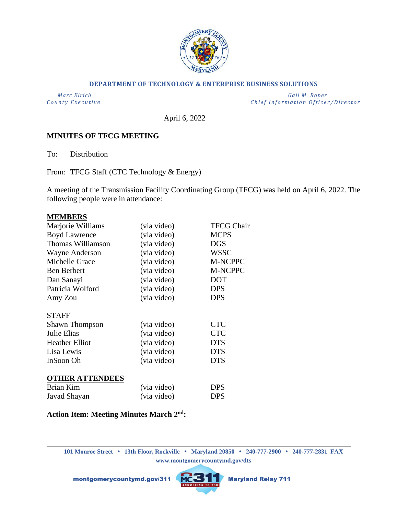

### **DEPARTMENT OF TECHNOLOGY & ENTERPRISE BUSINESS SOLUTIONS**

 *Marc Elrich Gail M. Roper County Executive County Executive Chief Information Officer/Director* 

April 6, 2022

## **MINUTES OF TFCG MEETING**

To: Distribution

From: TFCG Staff (CTC Technology & Energy)

A meeting of the Transmission Facility Coordinating Group (TFCG) was held on April 6, 2022. The following people were in attendance:

#### **MEMBERS**

| Marjorie Williams      | (via video) | <b>TFCG Chair</b> |
|------------------------|-------------|-------------------|
| <b>Boyd Lawrence</b>   | (via video) | <b>MCPS</b>       |
| Thomas Williamson      | (via video) | <b>DGS</b>        |
| <b>Wayne Anderson</b>  | (via video) | <b>WSSC</b>       |
| Michelle Grace         | (via video) | <b>M-NCPPC</b>    |
| <b>Ben Berbert</b>     | (via video) | M-NCPPC           |
| Dan Sanayi             | (via video) | <b>DOT</b>        |
| Patricia Wolford       | (via video) | <b>DPS</b>        |
| Amy Zou                | (via video) | <b>DPS</b>        |
| <b>STAFF</b>           |             |                   |
| <b>Shawn Thompson</b>  | (via video) | <b>CTC</b>        |
| Julie Elias            | (via video) | <b>CTC</b>        |
| <b>Heather Elliot</b>  | (via video) | <b>DTS</b>        |
| Lisa Lewis             | (via video) | <b>DTS</b>        |
| InSoon Oh              | (via video) | <b>DTS</b>        |
| <b>OTHER ATTENDEES</b> |             |                   |
| Brian Kim              | (via video) | <b>DPS</b>        |
| Javad Shayan           | (via video) | <b>DPS</b>        |

### **Action Item: Meeting Minutes March 2 nd:**

**101 Monroe Street • 13th Floor, Rockville • Maryland 20850 • 240-777-2900 • 240-777-2831 FAX www.montgomerycountymd.gov/dts**

montgomerycountymd.gov/311 MCSTT Maryland Relay 711

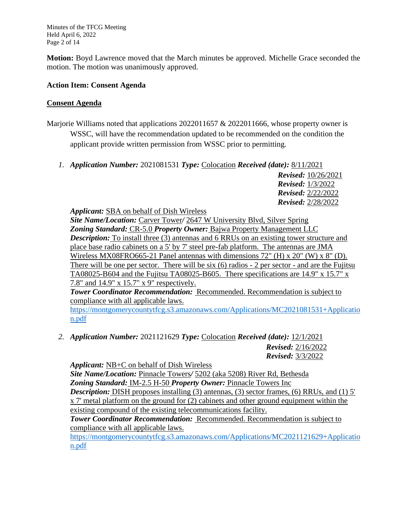Minutes of the TFCG Meeting Held April 6, 2022 Page 2 of 14

**Motion:** Boyd Lawrence moved that the March minutes be approved. Michelle Grace seconded the motion. The motion was unanimously approved.

## **Action Item: Consent Agenda**

## **Consent Agenda**

- Marjorie Williams noted that applications 2022011657 & 2022011666, whose property owner is WSSC, will have the recommendation updated to be recommended on the condition the applicant provide written permission from WSSC prior to permitting.
	- *1. Application Number:* 2021081531 *Type:* Colocation *Received (date):* 8/11/2021

*Revised:* 10/26/2021 *Revised:* 1/3/2022 *Revised:* 2/22/2022 *Revised:* 2/28/2022

*Applicant:* SBA on behalf of Dish Wireless

*Site Name/Location:* Carver Tower*/* 2647 W University Blvd, Silver Spring *Zoning Standard:* CR-5.0 *Property Owner:* Bajwa Property Management LLC *Description:* To install three (3) antennas and 6 RRUs on an existing tower structure and place base radio cabinets on a 5' by 7' steel pre-fab platform. The antennas are JMA Wireless MX08FRO665-21 Panel antennas with dimensions  $72^{\circ}$  (H) x  $20^{\circ}$  (W) x  $8^{\circ}$  (D). There will be one per sector. There will be six (6) radios - 2 per sector - and are the Fujitsu TA08025-B604 and the Fujitsu TA08025-B605. There specifications are 14.9" x 15.7" x 7.8" and 14.9" x 15.7" x 9" respectively.

*Tower Coordinator Recommendation:* Recommended. Recommendation is subject to compliance with all applicable laws.

[https://montgomerycountytfcg.s3.amazonaws.com/Applications/MC2021081531+Applicatio](https://montgomerycountytfcg.s3.amazonaws.com/Applications/MC2021081531+Application.pdf) [n.pdf](https://montgomerycountytfcg.s3.amazonaws.com/Applications/MC2021081531+Application.pdf)

*2. Application Number:* 2021121629 *Type:* Colocation *Received (date):* 12/1/2021 *Revised:* 2/16/2022 *Revised:* 3/3/2022

*Applicant:* NB+C on behalf of Dish Wireless *Site Name/Location:* Pinnacle Towers*/* 5202 (aka 5208) River Rd, Bethesda *Zoning Standard:* IM-2.5 H-50 *Property Owner:* Pinnacle Towers Inc *Description:* DISH proposes installing (3) antennas, (3) sector frames, (6) RRUs, and (1) 5' x 7' metal platform on the ground for (2) cabinets and other ground equipment within the existing compound of the existing telecommunications facility. *Tower Coordinator Recommendation:* Recommended. Recommendation is subject to

compliance with all applicable laws.

[https://montgomerycountytfcg.s3.amazonaws.com/Applications/MC2021121629+Applicatio](https://montgomerycountytfcg.s3.amazonaws.com/Applications/MC2021121629+Application.pdf) [n.pdf](https://montgomerycountytfcg.s3.amazonaws.com/Applications/MC2021121629+Application.pdf)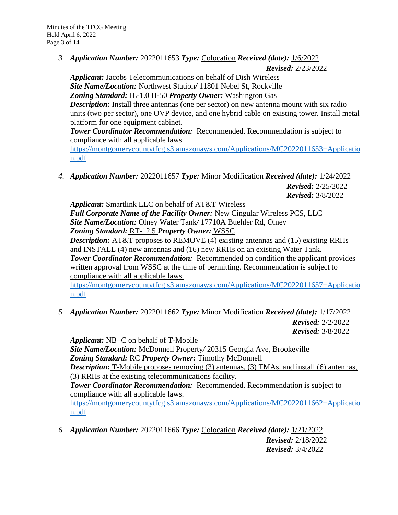*3. Application Number:* 2022011653 *Type:* Colocation *Received (date):* 1/6/2022

*Revised:* 2/23/2022

*Applicant:* Jacobs Telecommunications on behalf of Dish Wireless *Site Name/Location:* Northwest Station*/* 11801 Nebel St, Rockville *Zoning Standard:* IL-1.0 H-50 *Property Owner:* Washington Gas *Description:* Install three antennas (one per sector) on new antenna mount with six radio units (two per sector), one OVP device, and one hybrid cable on existing tower. Install metal platform for one equipment cabinet. *Tower Coordinator Recommendation:* Recommended. Recommendation is subject to compliance with all applicable laws.

[https://montgomerycountytfcg.s3.amazonaws.com/Applications/MC2022011653+Applicatio](https://montgomerycountytfcg.s3.amazonaws.com/Applications/MC2022011653+Application.pdf) [n.pdf](https://montgomerycountytfcg.s3.amazonaws.com/Applications/MC2022011653+Application.pdf)

*4. Application Number:* 2022011657 *Type:* Minor Modification *Received (date):* 1/24/2022 *Revised:* 2/25/2022

*Revised:* 3/8/2022

*Applicant:* Smartlink LLC on behalf of AT&T Wireless *Full Corporate Name of the Facility Owner:* New Cingular Wireless PCS, LLC *Site Name/Location:* Olney Water Tank*/* 17710A Buehler Rd, Olney *Zoning Standard:* RT-12.5 *Property Owner:* WSSC *Description:* AT&T proposes to REMOVE (4) existing antennas and (15) existing RRHs and INSTALL (4) new antennas and (16) new RRHs on an existing Water Tank. **Tower Coordinator Recommendation:** Recommended on condition the applicant provides written approval from WSSC at the time of permitting. Recommendation is subject to compliance with all applicable laws.

[https://montgomerycountytfcg.s3.amazonaws.com/Applications/MC2022011657+Applicatio](https://montgomerycountytfcg.s3.amazonaws.com/Applications/MC2022011657+Application.pdf) [n.pdf](https://montgomerycountytfcg.s3.amazonaws.com/Applications/MC2022011657+Application.pdf)

*5. Application Number:* 2022011662 *Type:* Minor Modification *Received (date):* 1/17/2022 *Revised:* 2/2/2022 *Revised:* 3/8/2022

*Applicant:* NB+C on behalf of T-Mobile *Site Name/Location:* McDonnell Property*/* 20315 Georgia Ave, Brookeville *Zoning Standard:* RC *Property Owner:* Timothy McDonnell **Description:** T-Mobile proposes removing (3) antennas, (3) TMAs, and install (6) antennas, (3) RRHs at the existing telecommunications facility. **Tower Coordinator Recommendation: Recommended. Recommendation is subject to** compliance with all applicable laws. [https://montgomerycountytfcg.s3.amazonaws.com/Applications/MC2022011662+Applicatio](https://montgomerycountytfcg.s3.amazonaws.com/Applications/MC2022011662+Application.pdf)

- [n.pdf](https://montgomerycountytfcg.s3.amazonaws.com/Applications/MC2022011662+Application.pdf)
- *6. Application Number:* 2022011666 *Type:* Colocation *Received (date):* 1/21/2022 *Revised:* 2/18/2022 *Revised:* 3/4/2022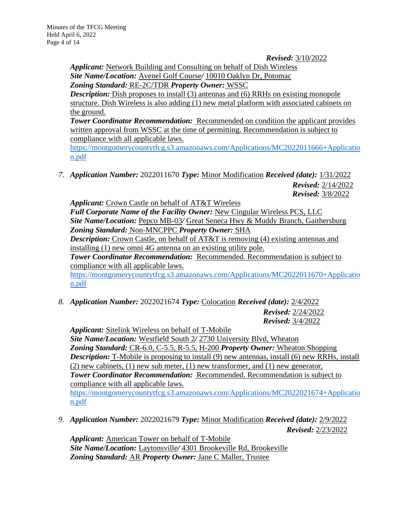*Revised:* 3/10/2022

*Applicant:* Network Building and Consulting on behalf of Dish Wireless *Site Name/Location:* Avenel Golf Course*/* 10010 Oaklyn Dr, Potomac *Zoning Standard:* RE-2C/TDR *Property Owner:* WSSC

*Description:* Dish proposes to install (3) antennas and (6) RRHs on existing monopole structure. Dish Wireless is also adding (1) new metal platform with associated cabinets on the ground.

**Tower Coordinator Recommendation:** Recommended on condition the applicant provides written approval from WSSC at the time of permitting. Recommendation is subject to compliance with all applicable laws.

[https://montgomerycountytfcg.s3.amazonaws.com/Applications/MC2022011666+Applicatio](https://montgomerycountytfcg.s3.amazonaws.com/Applications/MC2022011666+Application.pdf) [n.pdf](https://montgomerycountytfcg.s3.amazonaws.com/Applications/MC2022011666+Application.pdf)

*7. Application Number:* 2022011670 *Type:* Minor Modification *Received (date):* 1/31/2022 *Revised:* 2/14/2022 *Revised:* 3/8/2022

*Applicant:* Crown Castle on behalf of AT&T Wireless *Full Corporate Name of the Facility Owner:* New Cingular Wireless PCS, LLC *Site Name/Location:* Pepco MB-03*/* Great Seneca Hwy & Muddy Branch, Gaithersburg *Zoning Standard:* Non-MNCPPC *Property Owner:* SHA *Description:* Crown Castle, on behalf of AT&T is removing (4) existing antennas and installing (1) new omni 4G antenna on an existing utility pole. *Tower Coordinator Recommendation:* Recommended. Recommendation is subject to compliance with all applicable laws. [https://montgomerycountytfcg.s3.amazonaws.com/Applications/MC2022011670+Applicatio](https://montgomerycountytfcg.s3.amazonaws.com/Applications/MC2022011670+Application.pdf) [n.pdf](https://montgomerycountytfcg.s3.amazonaws.com/Applications/MC2022011670+Application.pdf)

*8. Application Number:* 2022021674 *Type:* Colocation *Received (date):* 2/4/2022

*Revised:* 2/24/2022 *Revised:* 3/4/2022

*Applicant:* Sitelink Wireless on behalf of T-Mobile *Site Name/Location:* Westfield South 2*/* 2730 University Blvd, Wheaton *Zoning Standard:* CR-6.0, C-5.5, R-5.5, H-200 *Property Owner:* Wheaton Shopping *Description:* T-Mobile is proposing to install (9) new antennas, install (6) new RRHs, install (2) new cabinets, (1) new sub meter, (1) new transformer, and (1) new generator, *Tower Coordinator Recommendation:* Recommended. Recommendation is subject to compliance with all applicable laws. [https://montgomerycountytfcg.s3.amazonaws.com/Applications/MC2022021674+Applicatio](https://montgomerycountytfcg.s3.amazonaws.com/Applications/MC2022021674+Application.pdf) [n.pdf](https://montgomerycountytfcg.s3.amazonaws.com/Applications/MC2022021674+Application.pdf)

*9. Application Number:* 2022021679 *Type:* Minor Modification *Received (date):* 2/9/2022 *Revised:* 2/23/2022

*Applicant:* American Tower on behalf of T-Mobile *Site Name/Location:* Laytonsville*/* 4301 Brookeville Rd, Brookeville *Zoning Standard:* AR *Property Owner:* Jane C Maller, Trustee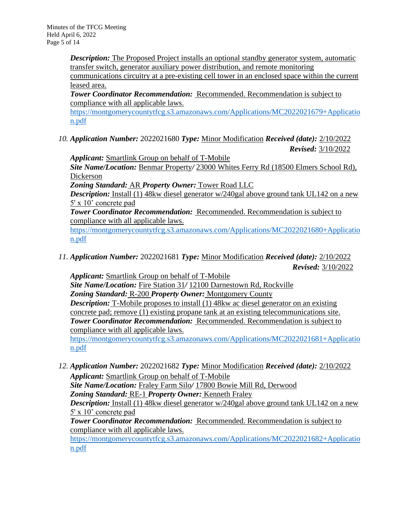*Description:* The Proposed Project installs an optional standby generator system, automatic transfer switch, generator auxiliary power distribution, and remote monitoring

communications circuitry at a pre-existing cell tower in an enclosed space within the current leased area.

*Tower Coordinator Recommendation:* Recommended. Recommendation is subject to compliance with all applicable laws.

[https://montgomerycountytfcg.s3.amazonaws.com/Applications/MC2022021679+Applicatio](https://montgomerycountytfcg.s3.amazonaws.com/Applications/MC2022021679+Application.pdf) [n.pdf](https://montgomerycountytfcg.s3.amazonaws.com/Applications/MC2022021679+Application.pdf)

*10. Application Number:* 2022021680 *Type:* Minor Modification *Received (date):* 2/10/2022 *Revised:* 3/10/2022

*Applicant:* Smartlink Group on behalf of T-Mobile *Site Name/Location:* Benmar Property*/* 23000 Whites Ferry Rd (18500 Elmers School Rd), Dickerson

*Zoning Standard:* AR *Property Owner:* Tower Road LLC

*Description:* Install (1) 48kw diesel generator w/240gal above ground tank UL142 on a new 5' x 10' concrete pad

*Tower Coordinator Recommendation:* Recommended. Recommendation is subject to compliance with all applicable laws.

[https://montgomerycountytfcg.s3.amazonaws.com/Applications/MC2022021680+Applicatio](https://montgomerycountytfcg.s3.amazonaws.com/Applications/MC2022021680+Application.pdf) [n.pdf](https://montgomerycountytfcg.s3.amazonaws.com/Applications/MC2022021680+Application.pdf)

*11. Application Number:* 2022021681 *Type:* Minor Modification *Received (date):* 2/10/2022 *Revised:* 3/10/2022

*Applicant:* Smartlink Group on behalf of T-Mobile *Site Name/Location:* Fire Station 31*/* 12100 Darnestown Rd, Rockville *Zoning Standard:* R-200 *Property Owner:* Montgomery County *Description:* T-Mobile proposes to install (1) 48kw ac diesel generator on an existing concrete pad; remove (1) existing propane tank at an existing telecommunications site. *Tower Coordinator Recommendation:* Recommended. Recommendation is subject to compliance with all applicable laws. [https://montgomerycountytfcg.s3.amazonaws.com/Applications/MC2022021681+Applicatio](https://montgomerycountytfcg.s3.amazonaws.com/Applications/MC2022021681+Application.pdf)

[n.pdf](https://montgomerycountytfcg.s3.amazonaws.com/Applications/MC2022021681+Application.pdf)

*12. Application Number:* 2022021682 *Type:* Minor Modification *Received (date):* 2/10/2022 *Applicant:* Smartlink Group on behalf of T-Mobile *Site Name/Location:* Fraley Farm Silo*/* 17800 Bowie Mill Rd, Derwood *Zoning Standard:* RE-1 *Property Owner:* Kenneth Fraley *Description:* Install (1) 48kw diesel generator w/240gal above ground tank UL142 on a new 5' x 10' concrete pad

*Tower Coordinator Recommendation:* Recommended. Recommendation is subject to compliance with all applicable laws.

[https://montgomerycountytfcg.s3.amazonaws.com/Applications/MC2022021682+Applicatio](https://montgomerycountytfcg.s3.amazonaws.com/Applications/MC2022021682+Application.pdf) [n.pdf](https://montgomerycountytfcg.s3.amazonaws.com/Applications/MC2022021682+Application.pdf)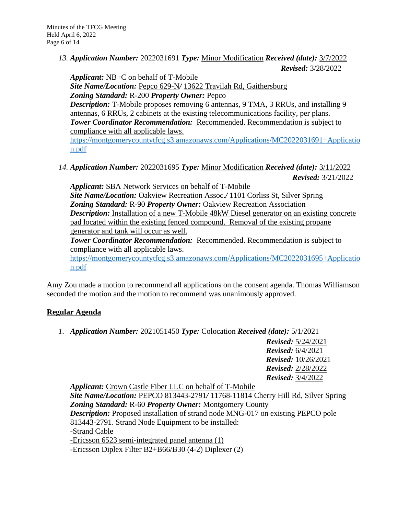*13. Application Number:* 2022031691 *Type:* Minor Modification *Received (date):* 3/7/2022 *Revised:* 3/28/2022

*Applicant:* NB+C on behalf of T-Mobile

*Site Name/Location:* Pepco 629-N*/* 13622 Travilah Rd, Gaithersburg

*Zoning Standard:* R-200 *Property Owner:* Pepco

*Description:* T-Mobile proposes removing 6 antennas, 9 TMA, 3 RRUs, and installing 9 antennas, 6 RRUs, 2 cabinets at the existing telecommunications facility, per plans. *Tower Coordinator Recommendation:* Recommended. Recommendation is subject to compliance with all applicable laws.

[https://montgomerycountytfcg.s3.amazonaws.com/Applications/MC2022031691+Applicatio](https://montgomerycountytfcg.s3.amazonaws.com/Applications/MC2022031691+Application.pdf) [n.pdf](https://montgomerycountytfcg.s3.amazonaws.com/Applications/MC2022031691+Application.pdf)

*14. Application Number:* 2022031695 *Type:* Minor Modification *Received (date):* 3/11/2022 *Revised:* 3/21/2022

*Applicant:* SBA Network Services on behalf of T-Mobile

*Site Name/Location:* Oakview Recreation Assoc.*/* 1101 Corliss St, Silver Spring *Zoning Standard:* R-90 *Property Owner:* Oakview Recreation Association *Description:* Installation of a new T-Mobile 48kW Diesel generator on an existing concrete pad located within the existing fenced compound. Removal of the existing propane generator and tank will occur as well.

*Tower Coordinator Recommendation:* Recommended. Recommendation is subject to compliance with all applicable laws.

[https://montgomerycountytfcg.s3.amazonaws.com/Applications/MC2022031695+Applicatio](https://montgomerycountytfcg.s3.amazonaws.com/Applications/MC2022031695+Application.pdf) [n.pdf](https://montgomerycountytfcg.s3.amazonaws.com/Applications/MC2022031695+Application.pdf)

Amy Zou made a motion to recommend all applications on the consent agenda. Thomas Williamson seconded the motion and the motion to recommend was unanimously approved.

# **Regular Agenda**

*1. Application Number:* 2021051450 *Type:* Colocation *Received (date):* 5/1/2021

*Revised:* 5/24/2021 *Revised:* 6/4/2021 *Revised:* 10/26/2021 *Revised:* 2/28/2022 *Revised:* 3/4/2022

*Applicant:* Crown Castle Fiber LLC on behalf of T-Mobile *Site Name/Location:* PEPCO 813443-2791*/* 11768-11814 Cherry Hill Rd, Silver Spring *Zoning Standard:* R-60 *Property Owner:* Montgomery County *Description:* Proposed installation of strand node MNG-017 on existing PEPCO pole 813443-2791. Strand Node Equipment to be installed: -Strand Cable -Ericsson 6523 semi-integrated panel antenna (1) -Ericsson Diplex Filter B2+B66/B30 (4-2) Diplexer (2)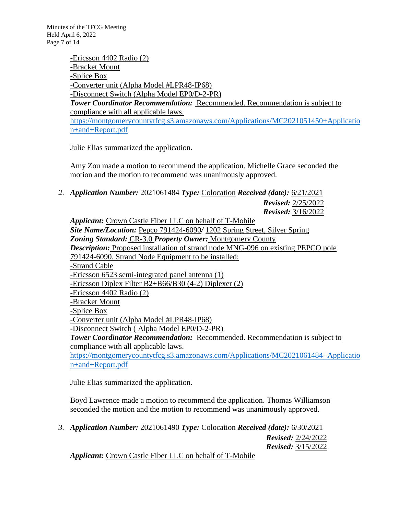-Ericsson 4402 Radio (2) -Bracket Mount -Splice Box -Converter unit (Alpha Model #LPR48-IP68) -Disconnect Switch (Alpha Model EP0/D-2-PR) *Tower Coordinator Recommendation:* Recommended. Recommendation is subject to compliance with all applicable laws. [https://montgomerycountytfcg.s3.amazonaws.com/Applications/MC2021051450+Applicatio](https://montgomerycountytfcg.s3.amazonaws.com/Applications/MC2021051450+Application+and+Report.pdf) [n+and+Report.pdf](https://montgomerycountytfcg.s3.amazonaws.com/Applications/MC2021051450+Application+and+Report.pdf)

Julie Elias summarized the application.

Amy Zou made a motion to recommend the application. Michelle Grace seconded the motion and the motion to recommend was unanimously approved.

*2. Application Number:* 2021061484 *Type:* Colocation *Received (date):* 6/21/2021

*Revised:* 3/16/2022 *Applicant:* Crown Castle Fiber LLC on behalf of T-Mobile *Site Name/Location:* Pepco 791424-6090*/* 1202 Spring Street, Silver Spring *Zoning Standard:* CR-3.0 *Property Owner:* Montgomery County *Description:* Proposed installation of strand node MNG-096 on existing PEPCO pole 791424-6090. Strand Node Equipment to be installed: -Strand Cable -Ericsson 6523 semi-integrated panel antenna (1) -Ericsson Diplex Filter B2+B66/B30 (4-2) Diplexer (2) -Ericsson 4402 Radio (2) -Bracket Mount -Splice Box -Converter unit (Alpha Model #LPR48-IP68) -Disconnect Switch ( Alpha Model EP0/D-2-PR) *Tower Coordinator Recommendation:* Recommended. Recommendation is subject to compliance with all applicable laws. [https://montgomerycountytfcg.s3.amazonaws.com/Applications/MC2021061484+Applicatio](https://montgomerycountytfcg.s3.amazonaws.com/Applications/MC2021061484+Application+and+Report.pdf) [n+and+Report.pdf](https://montgomerycountytfcg.s3.amazonaws.com/Applications/MC2021061484+Application+and+Report.pdf)

Julie Elias summarized the application.

Boyd Lawrence made a motion to recommend the application. Thomas Williamson seconded the motion and the motion to recommend was unanimously approved.

*3. Application Number:* 2021061490 *Type:* Colocation *Received (date):* 6/30/2021 *Revised:* 2/24/2022

*Revised:* 3/15/2022

*Revised:* 2/25/2022

*Applicant:* Crown Castle Fiber LLC on behalf of T-Mobile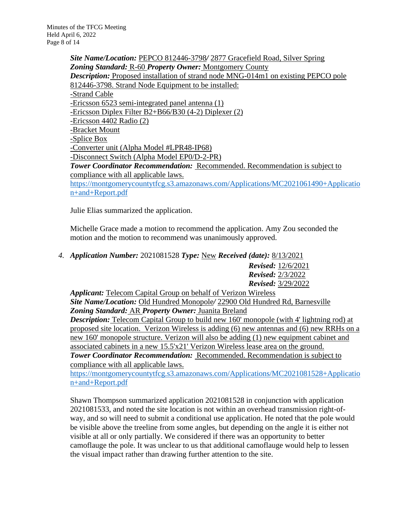*Site Name/Location:* PEPCO 812446-3798*/* 2877 Gracefield Road, Silver Spring *Zoning Standard:* R-60 *Property Owner:* Montgomery County *Description:* Proposed installation of strand node MNG-014m1 on existing PEPCO pole 812446-3798. Strand Node Equipment to be installed: -Strand Cable -Ericsson 6523 semi-integrated panel antenna (1) -Ericsson Diplex Filter B2+B66/B30 (4-2) Diplexer (2) -Ericsson 4402 Radio (2) -Bracket Mount -Splice Box -Converter unit (Alpha Model #LPR48-IP68) -Disconnect Switch (Alpha Model EP0/D-2-PR) *Tower Coordinator Recommendation:* Recommended. Recommendation is subject to compliance with all applicable laws. [https://montgomerycountytfcg.s3.amazonaws.com/Applications/MC2021061490+Applicatio](https://montgomerycountytfcg.s3.amazonaws.com/Applications/MC2021061490+Application+and+Report.pdf) [n+and+Report.pdf](https://montgomerycountytfcg.s3.amazonaws.com/Applications/MC2021061490+Application+and+Report.pdf)

Julie Elias summarized the application.

Michelle Grace made a motion to recommend the application. Amy Zou seconded the motion and the motion to recommend was unanimously approved.

*4. Application Number:* 2021081528 *Type:* New *Received (date):* 8/13/2021

*Revised:* 12/6/2021 *Revised:* 2/3/2022 *Revised:* 3/29/2022

*Applicant:* Telecom Capital Group on behalf of Verizon Wireless *Site Name/Location:* Old Hundred Monopole*/* 22900 Old Hundred Rd, Barnesville *Zoning Standard:* AR *Property Owner:* Juanita Breland *Description:* Telecom Capital Group to build new 160' monopole (with 4' lightning rod) at proposed site location. Verizon Wireless is adding (6) new antennas and (6) new RRHs on a new 160' monopole structure. Verizon will also be adding (1) new equipment cabinet and associated cabinets in a new 15.5'x21' Verizon Wireless lease area on the ground. *Tower Coordinator Recommendation:* Recommended. Recommendation is subject to compliance with all applicable laws.

[https://montgomerycountytfcg.s3.amazonaws.com/Applications/MC2021081528+Applicatio](https://montgomerycountytfcg.s3.amazonaws.com/Applications/MC2021081528+Application+and+Report.pdf) [n+and+Report.pdf](https://montgomerycountytfcg.s3.amazonaws.com/Applications/MC2021081528+Application+and+Report.pdf)

Shawn Thompson summarized application 2021081528 in conjunction with application 2021081533, and noted the site location is not within an overhead transmission right-ofway, and so will need to submit a conditional use application. He noted that the pole would be visible above the treeline from some angles, but depending on the angle it is either not visible at all or only partially. We considered if there was an opportunity to better camoflauge the pole. It was unclear to us that additional camoflauge would help to lessen the visual impact rather than drawing further attention to the site.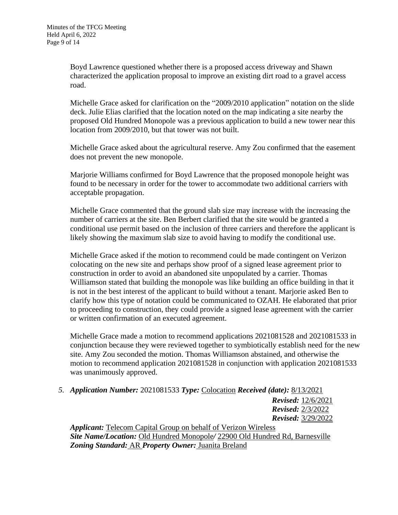Boyd Lawrence questioned whether there is a proposed access driveway and Shawn characterized the application proposal to improve an existing dirt road to a gravel access road.

Michelle Grace asked for clarification on the "2009/2010 application" notation on the slide deck. Julie Elias clarified that the location noted on the map indicating a site nearby the proposed Old Hundred Monopole was a previous application to build a new tower near this location from 2009/2010, but that tower was not built.

Michelle Grace asked about the agricultural reserve. Amy Zou confirmed that the easement does not prevent the new monopole.

Marjorie Williams confirmed for Boyd Lawrence that the proposed monopole height was found to be necessary in order for the tower to accommodate two additional carriers with acceptable propagation.

Michelle Grace commented that the ground slab size may increase with the increasing the number of carriers at the site. Ben Berbert clarified that the site would be granted a conditional use permit based on the inclusion of three carriers and therefore the applicant is likely showing the maximum slab size to avoid having to modify the conditional use.

Michelle Grace asked if the motion to recommend could be made contingent on Verizon colocating on the new site and perhaps show proof of a signed lease agreement prior to construction in order to avoid an abandoned site unpopulated by a carrier. Thomas Williamson stated that building the monopole was like building an office building in that it is not in the best interest of the applicant to build without a tenant. Marjorie asked Ben to clarify how this type of notation could be communicated to OZAH. He elaborated that prior to proceeding to construction, they could provide a signed lease agreement with the carrier or written confirmation of an executed agreement.

Michelle Grace made a motion to recommend applications 2021081528 and 2021081533 in conjunction because they were reviewed together to symbiotically establish need for the new site. Amy Zou seconded the motion. Thomas Williamson abstained, and otherwise the motion to recommend application 2021081528 in conjunction with application 2021081533 was unanimously approved.

*5. Application Number:* 2021081533 *Type:* Colocation *Received (date):* 8/13/2021

*Revised:* 12/6/2021 *Revised:* 2/3/2022 *Revised:* 3/29/2022

*Applicant:* Telecom Capital Group on behalf of Verizon Wireless *Site Name/Location:* Old Hundred Monopole*/* 22900 Old Hundred Rd, Barnesville *Zoning Standard:* AR *Property Owner:* Juanita Breland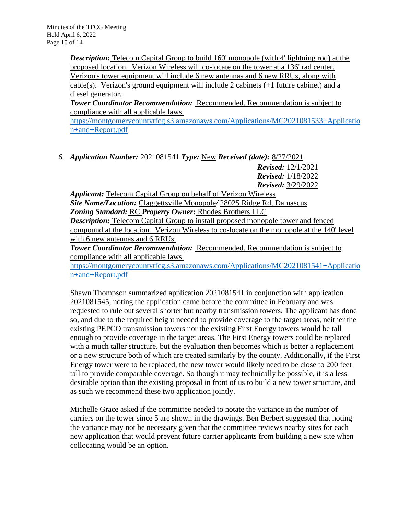*Description:* Telecom Capital Group to build 160' monopole (with 4' lightning rod) at the proposed location. Verizon Wireless will co-locate on the tower at a 136' rad center. Verizon's tower equipment will include 6 new antennas and 6 new RRUs, along with cable(s). Verizon's ground equipment will include 2 cabinets (+1 future cabinet) and a diesel generator.

*Tower Coordinator Recommendation:* Recommended. Recommendation is subject to compliance with all applicable laws.

[https://montgomerycountytfcg.s3.amazonaws.com/Applications/MC2021081533+Applicatio](https://montgomerycountytfcg.s3.amazonaws.com/Applications/MC2021081533+Application+and+Report.pdf) [n+and+Report.pdf](https://montgomerycountytfcg.s3.amazonaws.com/Applications/MC2021081533+Application+and+Report.pdf)

*6. Application Number:* 2021081541 *Type:* New *Received (date):* 8/27/2021

*Revised:* 12/1/2021 *Revised:* 1/18/2022 *Revised:* 3/29/2022

*Applicant:* Telecom Capital Group on behalf of Verizon Wireless *Site Name/Location:* Claggettsville Monopole*/* 28025 Ridge Rd, Damascus *Zoning Standard:* RC *Property Owner:* Rhodes Brothers LLC *Description:* Telecom Capital Group to install proposed monopole tower and fenced compound at the location. Verizon Wireless to co-locate on the monopole at the 140' level with 6 new antennas and 6 RRUs.

*Tower Coordinator Recommendation:* Recommended. Recommendation is subject to compliance with all applicable laws.

[https://montgomerycountytfcg.s3.amazonaws.com/Applications/MC2021081541+Applicatio](https://montgomerycountytfcg.s3.amazonaws.com/Applications/MC2021081541+Application+and+Report.pdf) [n+and+Report.pdf](https://montgomerycountytfcg.s3.amazonaws.com/Applications/MC2021081541+Application+and+Report.pdf)

Shawn Thompson summarized application 2021081541 in conjunction with application 2021081545, noting the application came before the committee in February and was requested to rule out several shorter but nearby transmission towers. The applicant has done so, and due to the required height needed to provide coverage to the target areas, neither the existing PEPCO transmission towers nor the existing First Energy towers would be tall enough to provide coverage in the target areas. The First Energy towers could be replaced with a much taller structure, but the evaluation then becomes which is better a replacement or a new structure both of which are treated similarly by the county. Additionally, if the First Energy tower were to be replaced, the new tower would likely need to be close to 200 feet tall to provide comparable coverage. So though it may technically be possible, it is a less desirable option than the existing proposal in front of us to build a new tower structure, and as such we recommend these two application jointly.

Michelle Grace asked if the committee needed to notate the variance in the number of carriers on the tower since 5 are shown in the drawings. Ben Berbert suggested that noting the variance may not be necessary given that the committee reviews nearby sites for each new application that would prevent future carrier applicants from building a new site when collocating would be an option.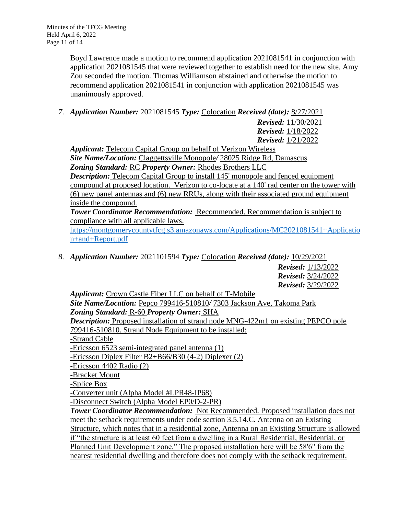Boyd Lawrence made a motion to recommend application 2021081541 in conjunction with application 2021081545 that were reviewed together to establish need for the new site. Amy Zou seconded the motion. Thomas Williamson abstained and otherwise the motion to recommend application 2021081541 in conjunction with application 2021081545 was unanimously approved.

*7. Application Number:* 2021081545 *Type:* Colocation *Received (date):* 8/27/2021

*Revised:* 11/30/2021 *Revised:* 1/18/2022 *Revised:* 1/21/2022

*Applicant:* Telecom Capital Group on behalf of Verizon Wireless *Site Name/Location:* Claggettsville Monopole*/* 28025 Ridge Rd, Damascus *Zoning Standard:* RC *Property Owner:* Rhodes Brothers LLC *Description:* Telecom Capital Group to install 145' monopole and fenced equipment compound at proposed location. Verizon to co-locate at a 140' rad center on the tower with (6) new panel antennas and (6) new RRUs, along with their associated ground equipment inside the compound.

*Tower Coordinator Recommendation:* Recommended. Recommendation is subject to compliance with all applicable laws.

[https://montgomerycountytfcg.s3.amazonaws.com/Applications/MC2021081541+Applicatio](https://montgomerycountytfcg.s3.amazonaws.com/Applications/MC2021081541+Application+and+Report.pdf) [n+and+Report.pdf](https://montgomerycountytfcg.s3.amazonaws.com/Applications/MC2021081541+Application+and+Report.pdf)

*8. Application Number:* 2021101594 *Type:* Colocation *Received (date):* 10/29/2021

*Revised:* 1/13/2022 *Revised:* 3/24/2022 *Revised:* 3/29/2022

*Applicant:* Crown Castle Fiber LLC on behalf of T-Mobile *Site Name/Location:* Pepco 799416-510810*/* 7303 Jackson Ave, Takoma Park *Zoning Standard:* R-60 *Property Owner:* SHA *Description:* Proposed installation of strand node MNG-422m1 on existing PEPCO pole 799416-510810. Strand Node Equipment to be installed: -Strand Cable -Ericsson 6523 semi-integrated panel antenna (1) -Ericsson Diplex Filter B2+B66/B30 (4-2) Diplexer (2) -Ericsson 4402 Radio (2) -Bracket Mount -Splice Box -Converter unit (Alpha Model #LPR48-IP68) -Disconnect Switch (Alpha Model EP0/D-2-PR) *Tower Coordinator Recommendation:* Not Recommended. Proposed installation does not meet the setback requirements under code section 3.5.14.C. Antenna on an Existing Structure, which notes that in a residential zone, Antenna on an Existing Structure is allowed if "the structure is at least 60 feet from a dwelling in a Rural Residential, Residential, or Planned Unit Development zone." The proposed installation here will be 58'6" from the

nearest residential dwelling and therefore does not comply with the setback requirement.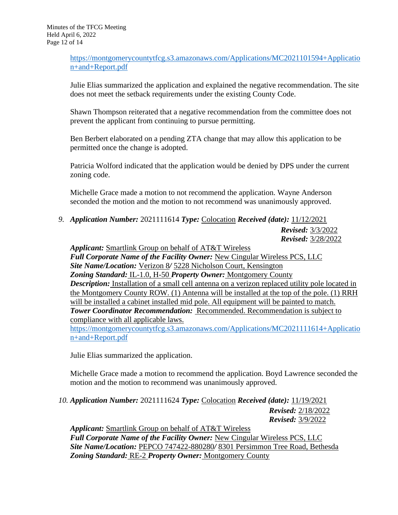[https://montgomerycountytfcg.s3.amazonaws.com/Applications/MC2021101594+Applicatio](https://montgomerycountytfcg.s3.amazonaws.com/Applications/MC2021101594+Application+and+Report.pdf) [n+and+Report.pdf](https://montgomerycountytfcg.s3.amazonaws.com/Applications/MC2021101594+Application+and+Report.pdf)

Julie Elias summarized the application and explained the negative recommendation. The site does not meet the setback requirements under the existing County Code.

Shawn Thompson reiterated that a negative recommendation from the committee does not prevent the applicant from continuing to pursue permitting.

Ben Berbert elaborated on a pending ZTA change that may allow this application to be permitted once the change is adopted.

Patricia Wolford indicated that the application would be denied by DPS under the current zoning code.

Michelle Grace made a motion to not recommend the application. Wayne Anderson seconded the motion and the motion to not recommend was unanimously approved.

*9. Application Number:* 2021111614 *Type:* Colocation *Received (date):* 11/12/2021

*Revised:* 3/3/2022 *Revised:* 3/28/2022

*Applicant:* Smartlink Group on behalf of AT&T Wireless *Full Corporate Name of the Facility Owner:* New Cingular Wireless PCS, LLC *Site Name/Location:* Verizon 8*/* 5228 Nicholson Court, Kensington *Zoning Standard:* IL-1.0, H-50 *Property Owner:* Montgomery County *Description:* Installation of a small cell antenna on a verizon replaced utility pole located in the Montgomery County ROW. (1) Antenna will be installed at the top of the pole. (1) RRH will be installed a cabinet installed mid pole. All equipment will be painted to match. *Tower Coordinator Recommendation:* Recommended. Recommendation is subject to compliance with all applicable laws. [https://montgomerycountytfcg.s3.amazonaws.com/Applications/MC2021111614+Applicatio](https://montgomerycountytfcg.s3.amazonaws.com/Applications/MC2021111614+Application+and+Report.pdf)

Julie Elias summarized the application.

[n+and+Report.pdf](https://montgomerycountytfcg.s3.amazonaws.com/Applications/MC2021111614+Application+and+Report.pdf)

Michelle Grace made a motion to recommend the application. Boyd Lawrence seconded the motion and the motion to recommend was unanimously approved.

*10. Application Number:* 2021111624 *Type:* Colocation *Received (date):* 11/19/2021

*Revised:* 2/18/2022 *Revised:* 3/9/2022

*Applicant:* Smartlink Group on behalf of AT&T Wireless *Full Corporate Name of the Facility Owner:* New Cingular Wireless PCS, LLC *Site Name/Location:* PEPCO 747422-880280*/* 8301 Persimmon Tree Road, Bethesda *Zoning Standard:* RE-2 *Property Owner:* Montgomery County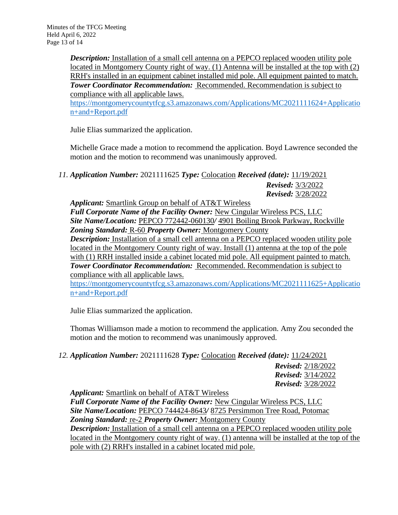*Description:* Installation of a small cell antenna on a PEPCO replaced wooden utility pole located in Montgomery County right of way. (1) Antenna will be installed at the top with (2) RRH's installed in an equipment cabinet installed mid pole. All equipment painted to match. *Tower Coordinator Recommendation:* Recommended. Recommendation is subject to compliance with all applicable laws.

[https://montgomerycountytfcg.s3.amazonaws.com/Applications/MC2021111624+Applicatio](https://montgomerycountytfcg.s3.amazonaws.com/Applications/MC2021111624+Application+and+Report.pdf) [n+and+Report.pdf](https://montgomerycountytfcg.s3.amazonaws.com/Applications/MC2021111624+Application+and+Report.pdf)

Julie Elias summarized the application.

Michelle Grace made a motion to recommend the application. Boyd Lawrence seconded the motion and the motion to recommend was unanimously approved.

*11. Application Number:* 2021111625 *Type:* Colocation *Received (date):* 11/19/2021 *Revised:* 3/3/2022 *Revised:* 3/28/2022

*Applicant:* Smartlink Group on behalf of AT&T Wireless *Full Corporate Name of the Facility Owner:* New Cingular Wireless PCS, LLC *Site Name/Location:* PEPCO 772442-060130*/* 4901 Boiling Brook Parkway, Rockville *Zoning Standard:* R-60 *Property Owner:* Montgomery County *Description:* Installation of a small cell antenna on a PEPCO replaced wooden utility pole located in the Montgomery County right of way. Install (1) antenna at the top of the pole with (1) RRH installed inside a cabinet located mid pole. All equipment painted to match. *Tower Coordinator Recommendation:* Recommended. Recommendation is subject to compliance with all applicable laws.

[https://montgomerycountytfcg.s3.amazonaws.com/Applications/MC2021111625+Applicatio](https://montgomerycountytfcg.s3.amazonaws.com/Applications/MC2021111625+Application+and+Report.pdf) [n+and+Report.pdf](https://montgomerycountytfcg.s3.amazonaws.com/Applications/MC2021111625+Application+and+Report.pdf)

Julie Elias summarized the application.

Thomas Williamson made a motion to recommend the application. Amy Zou seconded the motion and the motion to recommend was unanimously approved.

*12. Application Number:* 2021111628 *Type:* Colocation *Received (date):* 11/24/2021 *Revised:* 2/18/2022 *Revised:* 3/14/2022 *Revised:* 3/28/2022

*Applicant:* Smartlink on behalf of AT&T Wireless *Full Corporate Name of the Facility Owner:* New Cingular Wireless PCS, LLC *Site Name/Location:* PEPCO 744424-8643*/* 8725 Persimmon Tree Road, Potomac *Zoning Standard:* re-2 *Property Owner:* Montgomery County **Description:** Installation of a small cell antenna on a PEPCO replaced wooden utility pole located in the Montgomery county right of way. (1) antenna will be installed at the top of the pole with (2) RRH's installed in a cabinet located mid pole.